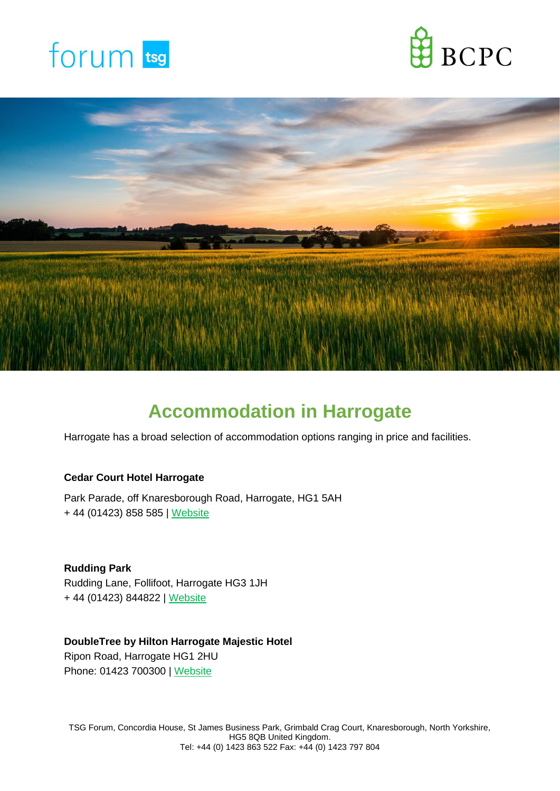





# **Accommodation in Harrogate**

Harrogate has a broad selection of accommodation options ranging in price and facilities.

## **Cedar Court Hotel Harrogate**

Park Parade, off Knaresborough Road, Harrogate, HG1 5AH + 44 (01423) 858 585 | [Website](http://www.cedarcourthotels.co.uk/hotels/harrogate)

**Rudding Park** Rudding Lane, Follifoot, Harrogate HG3 1JH + 44 [\(01423\)](https://www.google.com/search?q=rudding+paerk&sxsrf=ALeKk036q7O2MvBdu9CJXXxPlEV7vi6Edw%3A1623948011400&ei=63rLYLPyF86VkwX44pCABw&hotel_occupancy=2&oq=rudding+paerk&gs_lcp=Cgdnd3Mtd2l6EAMyEwguELEDEIMBEMcBEK8BEA0QkwIyBAgAEA0yBAgAEA0yBAgAEA0yEAguELEDEIMBEMcBEK8BEA0yBwgAEMkDEA0yCgguEMcBEK8BEA0yBAgAEA0yEAguELEDEIMBEMcBEK8BEA0yBAgAEA06BAgjECc6CwguEMcBEK8BEJECOhEIABCxAxCDARCLAxCoAxDSAzoLCC4QsQMQxwEQowI6BQguELEDOggILhCxAxCDAToECC4QQzoECAAQQzoICC4QxwEQrwE6EwguELEDEIMBEMcBEK8BEEMQkwI6AggAOhAILhCxAxCDARDHARCvARBDOg4ILhCxAxCDARDHARCvAToFCAAQyQM6CwguELEDEMcBEK8BOhMILhCHAhCxAxDHARCvARAUEJMCOhEILhCxAxCDARDHARCvARCTAjoTCC4QsQMQgwEQxwEQrwEQChCTAjoECAAQCjoQCC4QsQMQgwEQxwEQrwEQCjoHCAAQyQMQCjoKCC4QxwEQrwEQClCRWViCZGCaamgAcAJ4AIABlAGIAZIMkgEENC4xMJgBAKABAaoBB2d3cy13aXq4AQLAAQE&sclient=gws-wiz&ved=0ahUKEwjzk-nijZ_xAhXOyqQKHXgxBHAQ4dUDCA4&uact=5) 844822 | [Website](https://www.ruddingpark.co.uk/)

# **DoubleTree by Hilton Harrogate Majestic Hotel** Ripon Road, Harrogate HG1 2HU

[Phone:](https://www.google.com/search?sxsrf=ALeKk036q7O2MvBdu9CJXXxPlEV7vi6Edw:1623948011400&q=doubletree+by+hilton+harrogate+majestic+hotel+%26+spa+phone&ludocid=12776391762822737481&sa=X&ved=2ahUKEwjzk-nijZ_xAhXOyqQKHXgxBHAQ6BMwHHoECB8QAg) [01423 700300](https://www.google.com/search?q=double+tree+majestic&oq=double+tree+majestic&aqs=edge..69i57j0i10l3j0i10i22i30j69i61.2903j0j4&sourceid=chrome&ie=UTF-8) | [Website](https://www.hilton.com/en/hotels/lbahadi-doubletree-harrogate-majestic-hotel-and-spa/?WT.mc_id=zVSEC0GB1DT2NaturalSearch3Google_LGHotelListing4DGGeneric_5LocalSearch6LBAHADI7EN8i90276)